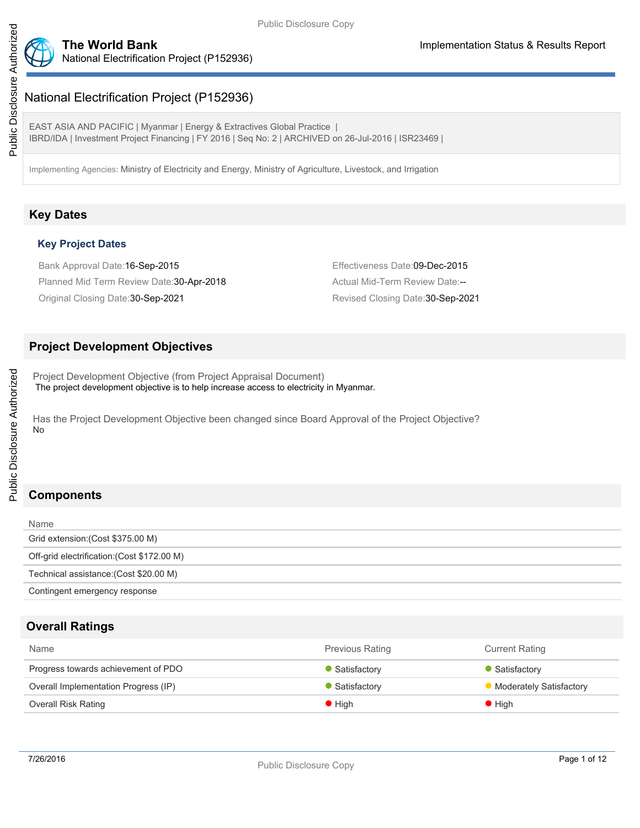

National Electrification Project (P152936)

EAST ASIA AND PACIFIC | Myanmar | Energy & Extractives Global Practice | IBRD/IDA | Investment Project Financing | FY 2016 | Seq No: 2 | ARCHIVED on 26-Jul-2016 | ISR23469 |

Implementing Agencies: Ministry of Electricity and Energy, Ministry of Agriculture, Livestock, and Irrigation

# **Key Dates**

### **Key Project Dates**

Bank Approval Date:16-Sep-2015 Effectiveness Date:09-Dec-2015 Planned Mid Term Review Date: 30-Apr-2018 Actual Mid-Term Review Date:--Original Closing Date:30-Sep-2021 Revised Closing Date:30-Sep-2021

## **Project Development Objectives**

Project Development Objective (from Project Appraisal Document) The project development objective is to help increase access to electricity in Myanmar.

Has the Project Development Objective been changed since Board Approval of the Project Objective? No

# **Components**

| Name                                        |
|---------------------------------------------|
| Grid extension: (Cost \$375.00 M)           |
| Off-grid electrification: (Cost \$172.00 M) |
| Technical assistance: (Cost \$20.00 M)      |
| Contingent emergency response               |

## **Overall Ratings**

| <b>Name</b>                          | <b>Previous Rating</b> | <b>Current Rating</b>   |
|--------------------------------------|------------------------|-------------------------|
| Progress towards achievement of PDO  | Satisfactory           | • Satisfactory          |
| Overall Implementation Progress (IP) | Satisfactory           | Moderately Satisfactory |
| Overall Risk Rating                  | $\bullet$ High         | $\bullet$ Hiah          |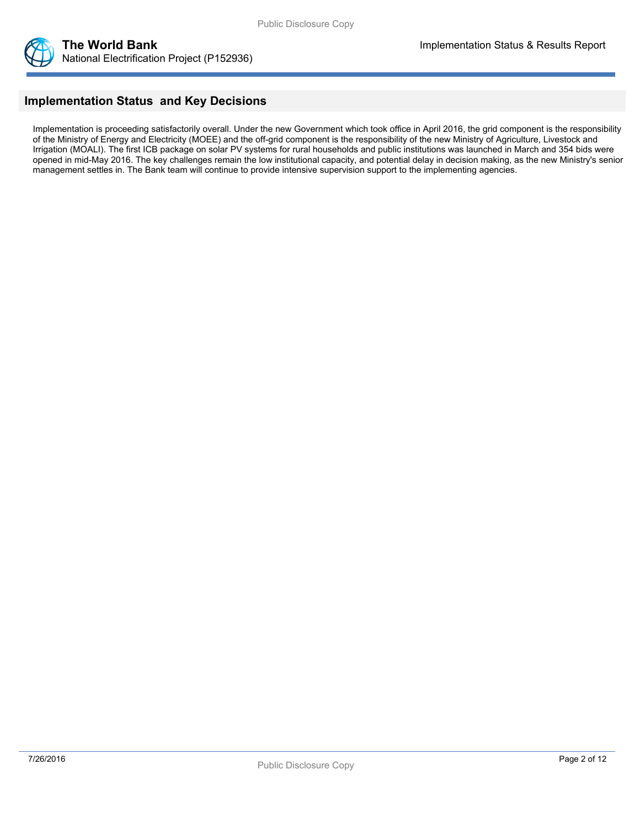

## **Implementation Status and Key Decisions**

Implementation is proceeding satisfactorily overall. Under the new Government which took office in April 2016, the grid component is the responsibility of the Ministry of Energy and Electricity (MOEE) and the off-grid component is the responsibility of the new Ministry of Agriculture, Livestock and Irrigation (MOALI). The first ICB package on solar PV systems for rural households and public institutions was launched in March and 354 bids were opened in mid-May 2016. The key challenges remain the low institutional capacity, and potential delay in decision making, as the new Ministry's senior management settles in. The Bank team will continue to provide intensive supervision support to the implementing agencies.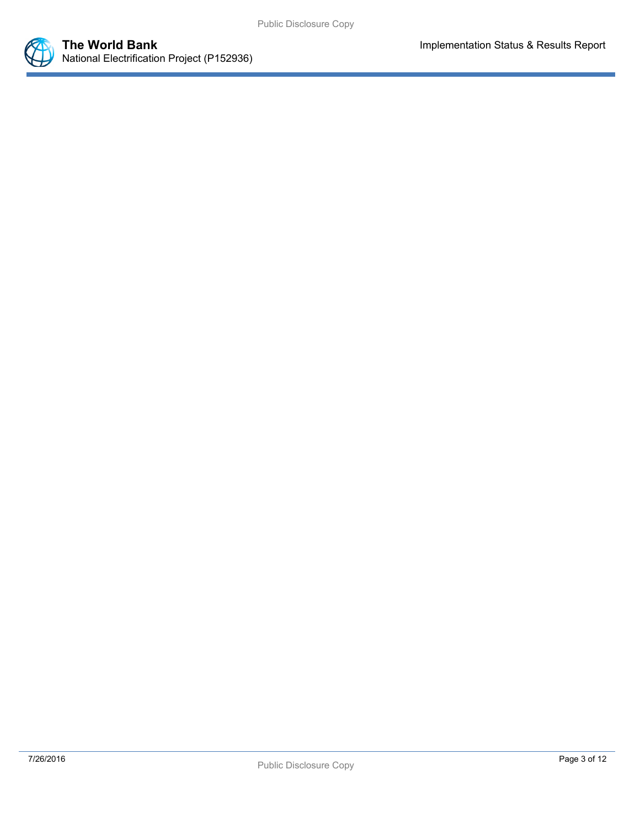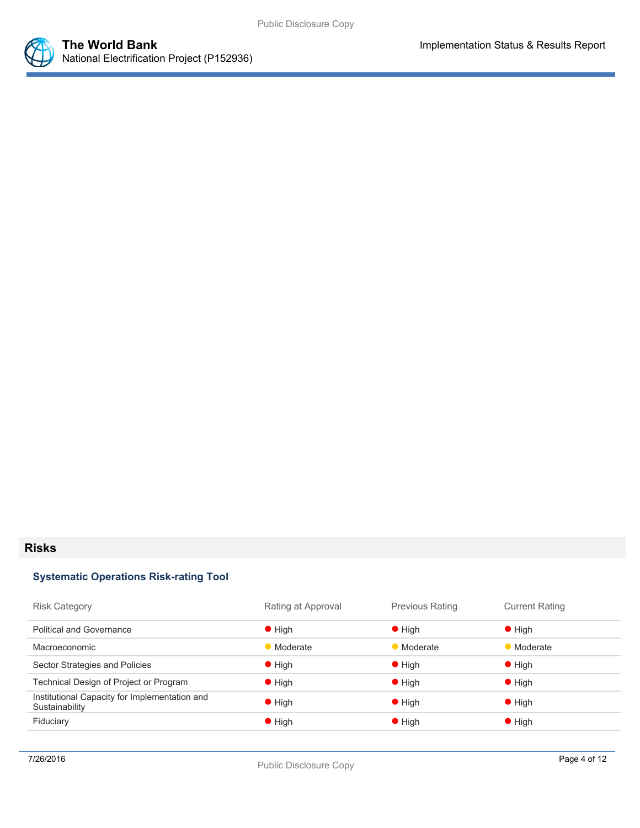

# **Risks**

### **Systematic Operations Risk-rating Tool**

| <b>Political and Governance</b><br>$\bullet$ High<br>$\bullet$ High<br>$\bullet$ High<br>Macroeconomic<br>• Moderate<br>• Moderate<br>• Moderate | <b>Risk Category</b> | Rating at Approval | <b>Previous Rating</b> | <b>Current Rating</b> |
|--------------------------------------------------------------------------------------------------------------------------------------------------|----------------------|--------------------|------------------------|-----------------------|
|                                                                                                                                                  |                      |                    |                        |                       |
|                                                                                                                                                  |                      |                    |                        |                       |
| Sector Strategies and Policies<br>$\bullet$ High<br>$\bullet$ High<br>$\bullet$ High                                                             |                      |                    |                        |                       |
| Technical Design of Project or Program<br>$\bullet$ High<br>$\bullet$ High<br>$\bullet$ High                                                     |                      |                    |                        |                       |
| Institutional Capacity for Implementation and<br>$\bullet$ High<br>$\bullet$ High<br>$\bullet$ High<br>Sustainability                            |                      |                    |                        |                       |
| Fiduciary<br>$\bullet$ High<br>$\bullet$ High<br>$\bullet$ High                                                                                  |                      |                    |                        |                       |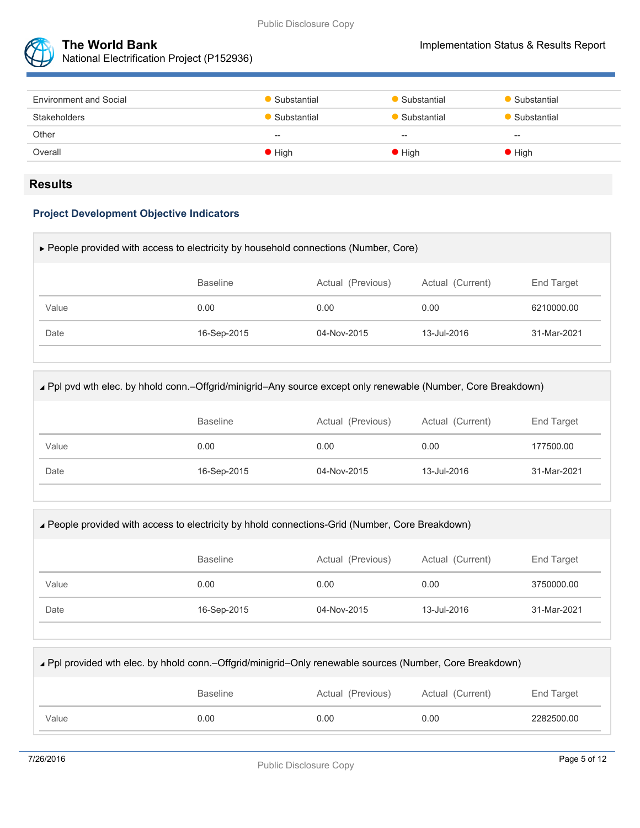



| <b>Environment and Social</b> | • Substantial  | Substantial    | Substantial    |
|-------------------------------|----------------|----------------|----------------|
| Stakeholders                  | • Substantial  | Substantial    | Substantial    |
| Other                         | $-$            | $- -$          | $- -$          |
| Overall                       | $\bullet$ High | $\bullet$ High | $\bullet$ High |
|                               |                |                |                |

# **Results**

# **Project Development Objective Indicators**

| ► People provided with access to electricity by household connections (Number, Core) |                 |                   |                  |             |  |
|--------------------------------------------------------------------------------------|-----------------|-------------------|------------------|-------------|--|
|                                                                                      | <b>Baseline</b> | Actual (Previous) | Actual (Current) | End Target  |  |
| Value                                                                                | 0.00            | 0.00              | 0.00             | 6210000.00  |  |
| Date                                                                                 | 16-Sep-2015     | 04-Nov-2015       | 13-Jul-2016      | 31-Mar-2021 |  |
|                                                                                      |                 |                   |                  |             |  |

| The position of the lec. by hhold conn.—Offgrid/minigrid–Any source except only renewable (Number, Core Breakdown) |                 |                   |                  |             |  |
|--------------------------------------------------------------------------------------------------------------------|-----------------|-------------------|------------------|-------------|--|
|                                                                                                                    | <b>Baseline</b> | Actual (Previous) | Actual (Current) | End Target  |  |
| Value                                                                                                              | 0.00            | 0.00              | 0.00             | 177500.00   |  |
| Date                                                                                                               | 16-Sep-2015     | 04-Nov-2015       | $13 -$ Jul-2016  | 31-Mar-2021 |  |
|                                                                                                                    |                 |                   |                  |             |  |

| A People provided with access to electricity by hhold connections-Grid (Number, Core Breakdown) |                 |                   |                  |             |  |
|-------------------------------------------------------------------------------------------------|-----------------|-------------------|------------------|-------------|--|
|                                                                                                 | <b>Baseline</b> | Actual (Previous) | Actual (Current) | End Target  |  |
| Value                                                                                           | 0.00            | 0.00              | 0.00             | 3750000.00  |  |
| Date                                                                                            | 16-Sep-2015     | 04-Nov-2015       | 13-Jul-2016      | 31-Mar-2021 |  |
|                                                                                                 |                 |                   |                  |             |  |

| The provided wth elec. by hhold conn.–Offgrid/minigrid–Only renewable sources (Number, Core Breakdown) |                 |                   |                  |            |  |  |
|--------------------------------------------------------------------------------------------------------|-----------------|-------------------|------------------|------------|--|--|
|                                                                                                        | <b>Baseline</b> | Actual (Previous) | Actual (Current) | End Target |  |  |
| Value                                                                                                  | 0.00            | 0.00              | 0.00             | 2282500.00 |  |  |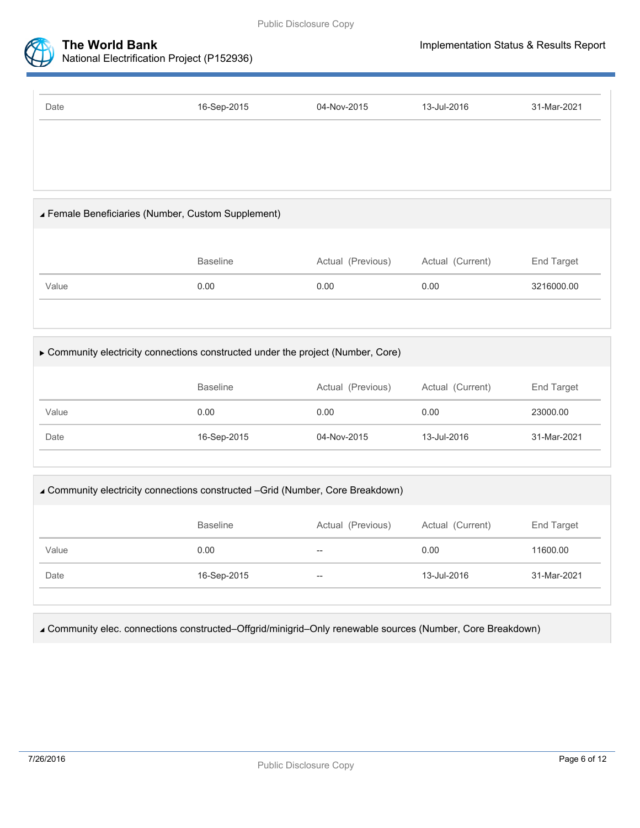



| Date | 16-Sep-2015                                        | 04-Nov-2015       | 13-Jul-2016      | 31-Mar-2021 |
|------|----------------------------------------------------|-------------------|------------------|-------------|
|      |                                                    |                   |                  |             |
|      |                                                    |                   |                  |             |
|      |                                                    |                   |                  |             |
|      |                                                    |                   |                  |             |
|      |                                                    |                   |                  |             |
|      | ▲ Female Beneficiaries (Number, Custom Supplement) |                   |                  |             |
|      |                                                    |                   |                  |             |
|      | <b>Baseline</b>                                    | Actual (Previous) | Actual (Current) | End Target  |

Value 0.00 0.00 0.00 3216000.00

# Community electricity connections constructed under the project (Number, Core)

|       | <b>Baseline</b> | Actual (Previous) | Actual (Current) | End Target  |
|-------|-----------------|-------------------|------------------|-------------|
| Value | 0.00            | 0.00              | 0.00             | 23000.00    |
| Date  | 16-Sep-2015     | 04-Nov-2015       | 13-Jul-2016      | 31-Mar-2021 |

#### Community electricity connections constructed –Grid (Number, Core Breakdown)

|       | <b>Baseline</b> | Actual (Previous) | Actual (Current) | End Target  |
|-------|-----------------|-------------------|------------------|-------------|
| Value | 0.00            | $- -$             | 0.00             | 11600.00    |
| Date  | 16-Sep-2015     | $- -$             | 13-Jul-2016      | 31-Mar-2021 |
|       |                 |                   |                  |             |

Community elec. connections constructed–Offgrid/minigrid–Only renewable sources (Number, Core Breakdown)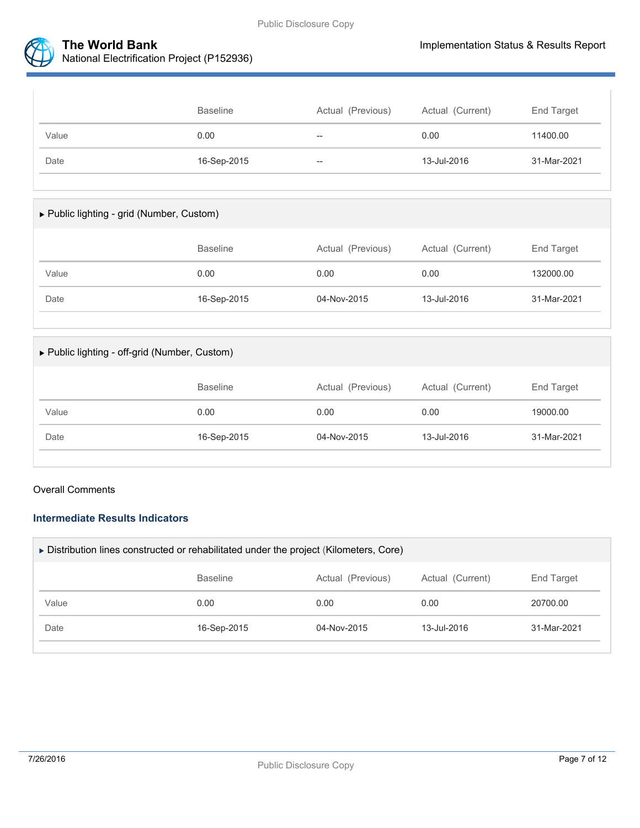

|       | <b>Baseline</b> | Actual (Previous)        | Actual (Current) | End Target  |
|-------|-----------------|--------------------------|------------------|-------------|
| Value | 0.00            | $\overline{\phantom{m}}$ | 0.00             | 11400.00    |
| Date  | 16-Sep-2015     | $\overline{\phantom{m}}$ | 13-Jul-2016      | 31-Mar-2021 |

#### Public lighting - grid (Number, Custom)

|       | <b>Baseline</b> | Actual (Previous) | Actual (Current) | End Target  |
|-------|-----------------|-------------------|------------------|-------------|
| Value | 0.00            | 0.00              | 0.00             | 132000.00   |
| Date  | 16-Sep-2015     | 04-Nov-2015       | 13-Jul-2016      | 31-Mar-2021 |

# Public lighting - off-grid (Number, Custom) Baseline **Actual (Previous)** Actual (Current) End Target Value 0.00 0.00 0.00 19000.00 Date 16-Sep-2015 04-Nov-2015 13-Jul-2016 31-Mar-2021

#### Overall Comments

### **Intermediate Results Indicators**

| $\triangleright$ Distribution lines constructed or rehabilitated under the project (Kilometers, Core) |                   |                  |             |  |  |
|-------------------------------------------------------------------------------------------------------|-------------------|------------------|-------------|--|--|
| <b>Baseline</b>                                                                                       | Actual (Previous) | Actual (Current) | End Target  |  |  |
| 0.00                                                                                                  | 0.00              | 0.00             | 20700.00    |  |  |
| 16-Sep-2015                                                                                           | 04-Nov-2015       | 13-Jul-2016      | 31-Mar-2021 |  |  |
|                                                                                                       |                   |                  |             |  |  |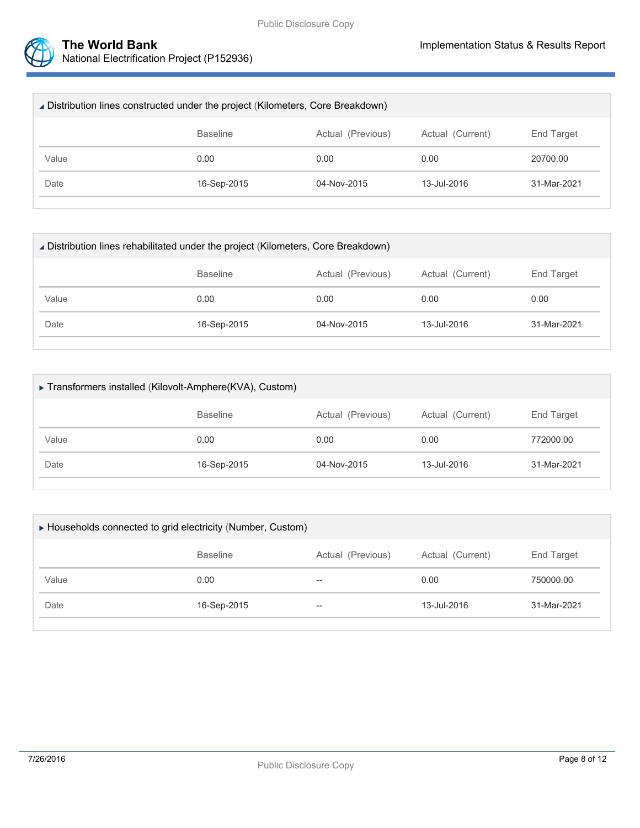

| ⊿ Distribution lines constructed under the project (Kilometers, Core Breakdown) |                 |                   |                  |             |  |
|---------------------------------------------------------------------------------|-----------------|-------------------|------------------|-------------|--|
|                                                                                 | <b>Baseline</b> | Actual (Previous) | Actual (Current) | End Target  |  |
| Value                                                                           | 0.00            | 0.00              | 0.00             | 20700.00    |  |
| Date                                                                            | 16-Sep-2015     | $04 - Nov-2015$   | $13 -$ Jul-2016  | 31-Mar-2021 |  |

| ⊿ Distribution lines rehabilitated under the project (Kilometers, Core Breakdown) |                 |                   |                  |             |  |
|-----------------------------------------------------------------------------------|-----------------|-------------------|------------------|-------------|--|
|                                                                                   | <b>Baseline</b> | Actual (Previous) | Actual (Current) | End Target  |  |
| Value                                                                             | 0.00            | 0.00              | 0.00             | 0.00        |  |
| Date                                                                              | 16-Sep-2015     | $04 - Nov-2015$   | 13-Jul-2016      | 31-Mar-2021 |  |

| Transformers installed (Kilovolt-Amphere(KVA), Custom) |                 |                   |                  |                   |  |
|--------------------------------------------------------|-----------------|-------------------|------------------|-------------------|--|
|                                                        | <b>Baseline</b> | Actual (Previous) | Actual (Current) | <b>End Target</b> |  |
| Value                                                  | 0.00            | 0.00              | 0.00             | 772000.00         |  |
| Date                                                   | 16-Sep-2015     | 04-Nov-2015       | 13-Jul-2016      | 31-Mar-2021       |  |
|                                                        |                 |                   |                  |                   |  |

| ► Households connected to grid electricity (Number, Custom) |                 |                   |                  |                   |  |
|-------------------------------------------------------------|-----------------|-------------------|------------------|-------------------|--|
|                                                             | <b>Baseline</b> | Actual (Previous) | Actual (Current) | <b>End Target</b> |  |
| Value                                                       | 0.00            | --                | 0.00             | 750000.00         |  |
| Date                                                        | 16-Sep-2015     | --                | 13-Jul-2016      | 31-Mar-2021       |  |
|                                                             |                 |                   |                  |                   |  |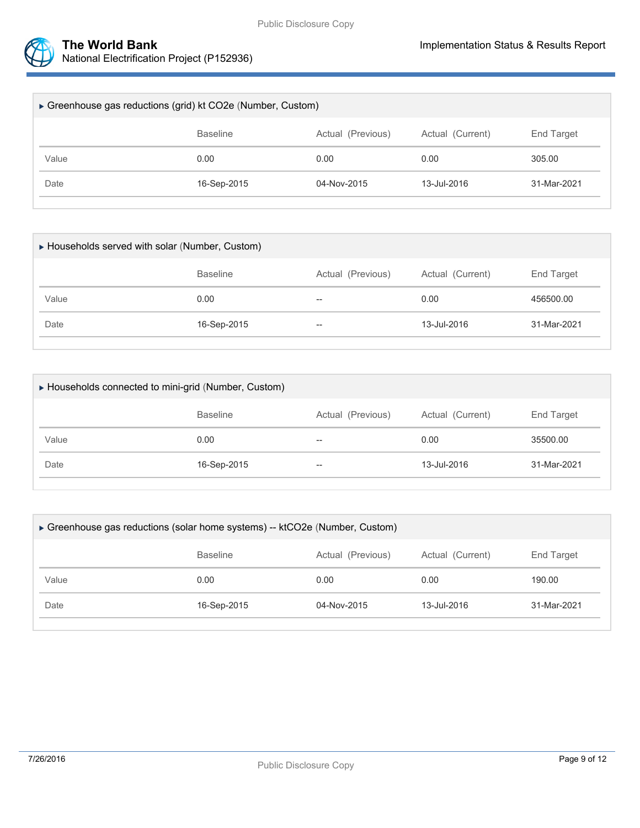

| Greenhouse gas reductions (grid) kt CO2e (Number, Custom) |                 |                   |                  |             |  |
|-----------------------------------------------------------|-----------------|-------------------|------------------|-------------|--|
|                                                           | <b>Baseline</b> | Actual (Previous) | Actual (Current) | End Target  |  |
| Value                                                     | 0.00            | 0.00              | 0.00             | 305.00      |  |
| Date                                                      | 16-Sep-2015     | 04-Nov-2015       | 13-Jul-2016      | 31-Mar-2021 |  |
|                                                           |                 |                   |                  |             |  |

| ► Households served with solar (Number, Custom) |                 |                   |                  |             |  |
|-------------------------------------------------|-----------------|-------------------|------------------|-------------|--|
|                                                 | <b>Baseline</b> | Actual (Previous) | Actual (Current) | End Target  |  |
| Value                                           | 0.00            | $- -$             | 0.00             | 456500.00   |  |
| Date                                            | 16-Sep-2015     | $- -$             | 13-Jul-2016      | 31-Mar-2021 |  |
|                                                 |                 |                   |                  |             |  |

| ► Households connected to mini-grid (Number, Custom) |                 |                          |                  |             |  |
|------------------------------------------------------|-----------------|--------------------------|------------------|-------------|--|
|                                                      | <b>Baseline</b> | Actual (Previous)        | Actual (Current) | End Target  |  |
| Value                                                | 0.00            | $- -$                    | 0.00             | 35500.00    |  |
| Date                                                 | 16-Sep-2015     | $\overline{\phantom{m}}$ | 13-Jul-2016      | 31-Mar-2021 |  |
|                                                      |                 |                          |                  |             |  |

| ► Greenhouse gas reductions (solar home systems) -- ktCO2e (Number, Custom) |                 |                   |                  |             |  |
|-----------------------------------------------------------------------------|-----------------|-------------------|------------------|-------------|--|
|                                                                             | <b>Baseline</b> | Actual (Previous) | Actual (Current) | End Target  |  |
| Value                                                                       | 0.00            | 0.00              | 0.00             | 190.00      |  |
| Date                                                                        | 16-Sep-2015     | 04-Nov-2015       | 13-Jul-2016      | 31-Mar-2021 |  |
|                                                                             |                 |                   |                  |             |  |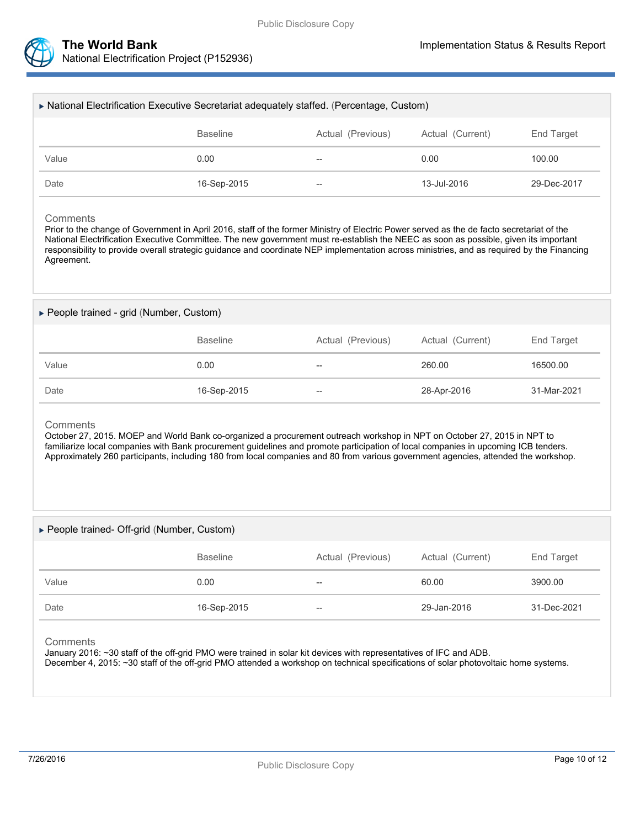

| ► National Electrification Executive Secretariat adequately staffed. (Percentage, Custom) |                 |                          |                  |             |  |
|-------------------------------------------------------------------------------------------|-----------------|--------------------------|------------------|-------------|--|
|                                                                                           | <b>Baseline</b> | Actual (Previous)        | Actual (Current) | End Target  |  |
| Value                                                                                     | 0.00            | $- -$                    | 0.00             | 100.00      |  |
| Date                                                                                      | 16-Sep-2015     | $\overline{\phantom{m}}$ | 13-Jul-2016      | 29-Dec-2017 |  |

#### **Comments**

Prior to the change of Government in April 2016, staff of the former Ministry of Electric Power served as the de facto secretariat of the National Electrification Executive Committee. The new government must re-establish the NEEC as soon as possible, given its important responsibility to provide overall strategic guidance and coordinate NEP implementation across ministries, and as required by the Financing Agreement.

#### People trained - grid (Number, Custom)

|       | <b>Baseline</b> | Actual (Previous)                     | Actual (Current) | End Target  |
|-------|-----------------|---------------------------------------|------------------|-------------|
| Value | 0.00            | $- -$                                 | 260.00           | 16500.00    |
| Date  | 16-Sep-2015     | $\hspace{0.05cm}$ – $\hspace{0.05cm}$ | 28-Apr-2016      | 31-Mar-2021 |

#### **Comments**

October 27, 2015. MOEP and World Bank co-organized a procurement outreach workshop in NPT on October 27, 2015 in NPT to familiarize local companies with Bank procurement guidelines and promote participation of local companies in upcoming ICB tenders. Approximately 260 participants, including 180 from local companies and 80 from various government agencies, attended the workshop.

#### People trained- Off-grid (Number, Custom)

|       | <b>Baseline</b> | Actual (Previous)        | Actual (Current) | End Target  |
|-------|-----------------|--------------------------|------------------|-------------|
| Value | 0.00            | $\overline{\phantom{m}}$ | 60.00            | 3900.00     |
| Date  | 16-Sep-2015     | $- -$                    | 29-Jan-2016      | 31-Dec-2021 |

**Comments** 

January 2016: ~30 staff of the off-grid PMO were trained in solar kit devices with representatives of IFC and ADB. December 4, 2015: ~30 staff of the off-grid PMO attended a workshop on technical specifications of solar photovoltaic home systems.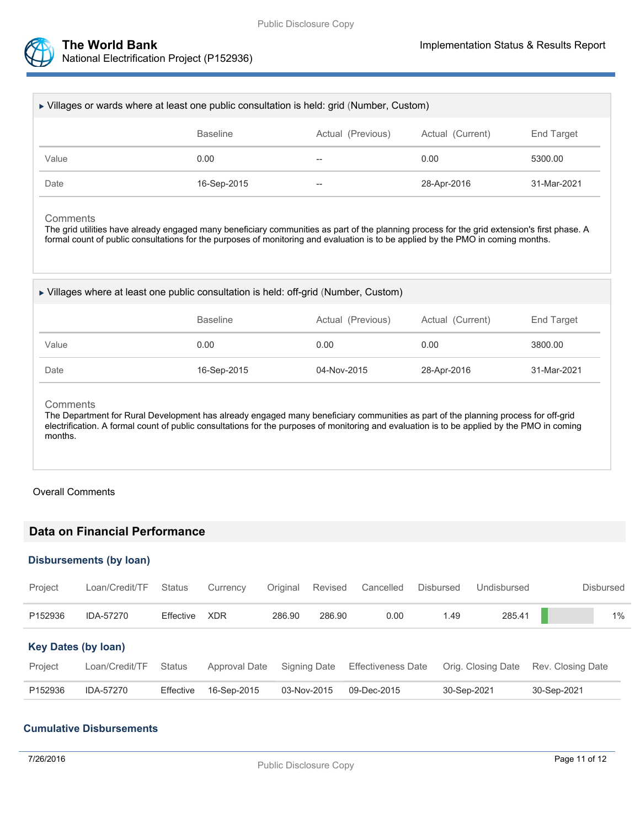

| ▶ Villages or wards where at least one public consultation is held: grid (Number, Custom) |                 |                          |                  |                   |  |  |
|-------------------------------------------------------------------------------------------|-----------------|--------------------------|------------------|-------------------|--|--|
|                                                                                           | <b>Baseline</b> | Actual (Previous)        | Actual (Current) | <b>End Target</b> |  |  |
| Value                                                                                     | 0.00            | $\overline{\phantom{m}}$ | 0.00             | 5300.00           |  |  |
| Date                                                                                      | 16-Sep-2015     | $-$                      | 28-Apr-2016      | 31-Mar-2021       |  |  |

#### **Comments**

The grid utilities have already engaged many beneficiary communities as part of the planning process for the grid extension's first phase. A formal count of public consultations for the purposes of monitoring and evaluation is to be applied by the PMO in coming months.

#### Villages where at least one public consultation is held: off-grid (Number, Custom)

|       | <b>Baseline</b> | Actual (Previous) | Actual (Current) | End Target  |
|-------|-----------------|-------------------|------------------|-------------|
| Value | 0.00            | 0.00              | 0.00             | 3800.00     |
| Date  | 16-Sep-2015     | 04-Nov-2015       | 28-Apr-2016      | 31-Mar-2021 |

#### **Comments**

The Department for Rural Development has already engaged many beneficiary communities as part of the planning process for off-grid electrification. A formal count of public consultations for the purposes of monitoring and evaluation is to be applied by the PMO in coming months.

#### Overall Comments

# **Data on Financial Performance**

#### **Disbursements (by loan)**

| Project                    | Loan/Credit/TF | <b>Status</b> | Currency      | Original | Revised      | Cancelled                 | Disbursed | Undisbursed        | Disbursed         |       |
|----------------------------|----------------|---------------|---------------|----------|--------------|---------------------------|-----------|--------------------|-------------------|-------|
| P152936                    | IDA-57270      | Effective     | <b>XDR</b>    | 286.90   | 286.90       | 0.00                      | 1.49      | 285.41             |                   | $1\%$ |
| <b>Key Dates (by loan)</b> |                |               |               |          |              |                           |           |                    |                   |       |
| Project                    | Loan/Credit/TF | <b>Status</b> | Approval Date |          | Signing Date | <b>Effectiveness Date</b> |           | Orig. Closing Date | Rev. Closing Date |       |
| P152936                    | IDA-57270      | Effective     | 16-Sep-2015   |          | 03-Nov-2015  | 09-Dec-2015               |           | 30-Sep-2021        | 30-Sep-2021       |       |

#### **Cumulative Disbursements**